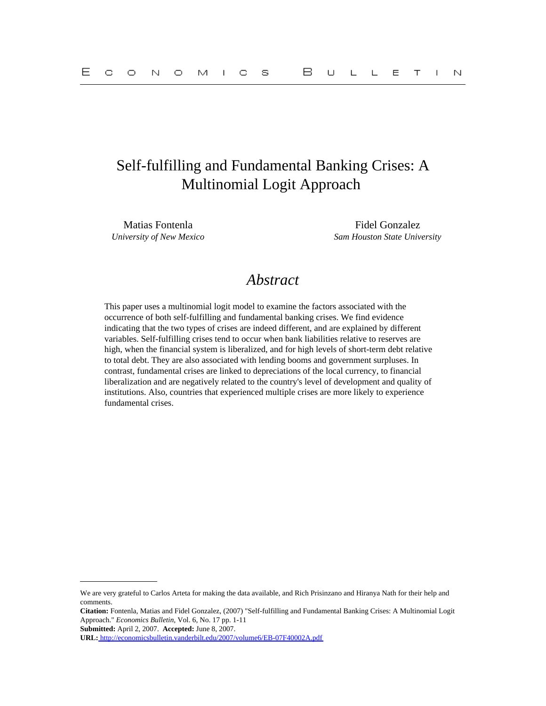# Self-fulfilling and Fundamental Banking Crises: A Multinomial Logit Approach

Matias Fontenla Fidel Gonzalez *University of New Mexico Sam Houston State University*

## *Abstract*

This paper uses a multinomial logit model to examine the factors associated with the occurrence of both self-fulfilling and fundamental banking crises. We find evidence indicating that the two types of crises are indeed different, and are explained by different variables. Self-fulfilling crises tend to occur when bank liabilities relative to reserves are high, when the financial system is liberalized, and for high levels of short-term debt relative to total debt. They are also associated with lending booms and government surpluses. In contrast, fundamental crises are linked to depreciations of the local currency, to financial liberalization and are negatively related to the country's level of development and quality of institutions. Also, countries that experienced multiple crises are more likely to experience fundamental crises.

**Submitted:** April 2, 2007. **Accepted:** June 8, 2007.

We are very grateful to Carlos Arteta for making the data available, and Rich Prisinzano and Hiranya Nath for their help and comments.

**Citation:** Fontenla, Matias and Fidel Gonzalez, (2007) "Self-fulfilling and Fundamental Banking Crises: A Multinomial Logit Approach." *Economics Bulletin,* Vol. 6, No. 17 pp. 1-11

**URL:**<http://economicsbulletin.vanderbilt.edu/2007/volume6/EB-07F40002A.pdf>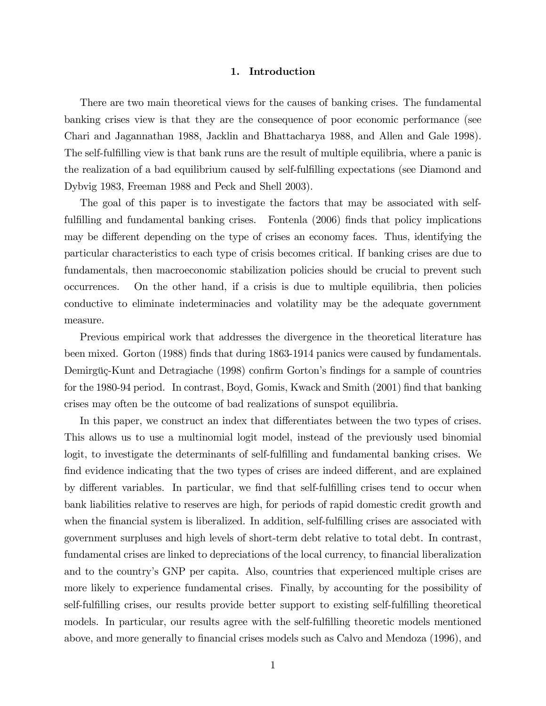#### 1. Introduction

There are two main theoretical views for the causes of banking crises. The fundamental banking crises view is that they are the consequence of poor economic performance (see Chari and Jagannathan 1988, Jacklin and Bhattacharya 1988, and Allen and Gale 1998). The self-fulfilling view is that bank runs are the result of multiple equilibria, where a panic is the realization of a bad equilibrium caused by self-fulfilling expectations (see Diamond and Dybvig 1983, Freeman 1988 and Peck and Shell 2003).

The goal of this paper is to investigate the factors that may be associated with selffulfilling and fundamental banking crises. Fontenta (2006) finds that policy implications may be different depending on the type of crises an economy faces. Thus, identifying the particular characteristics to each type of crisis becomes critical. If banking crises are due to fundamentals, then macroeconomic stabilization policies should be crucial to prevent such occurrences. On the other hand, if a crisis is due to multiple equilibria, then policies conductive to eliminate indeterminacies and volatility may be the adequate government measure.

Previous empirical work that addresses the divergence in the theoretical literature has been mixed. Gorton (1988) finds that during 1863-1914 panics were caused by fundamentals. Demirgüç-Kunt and Detragiache (1998) confirm Gorton's findings for a sample of countries for the 1980-94 period. In contrast, Boyd, Gomis, Kwack and Smith (2001) find that banking crises may often be the outcome of bad realizations of sunspot equilibria.

In this paper, we construct an index that differentiates between the two types of crises. This allows us to use a multinomial logit model, instead of the previously used binomial logit, to investigate the determinants of self-fulfilling and fundamental banking crises. We find evidence indicating that the two types of crises are indeed different, and are explained by different variables. In particular, we find that self-fulfilling crises tend to occur when bank liabilities relative to reserves are high, for periods of rapid domestic credit growth and when the financial system is liberalized. In addition, self-fulfilling crises are associated with government surpluses and high levels of short-term debt relative to total debt. In contrast, fundamental crises are linked to depreciations of the local currency, to financial liberalization and to the country's GNP per capita. Also, countries that experienced multiple crises are more likely to experience fundamental crises. Finally, by accounting for the possibility of self-fulfilling crises, our results provide better support to existing self-fulfilling theoretical models. In particular, our results agree with the self-fulfilling theoretic models mentioned above, and more generally to financial crises models such as Calvo and Mendoza (1996), and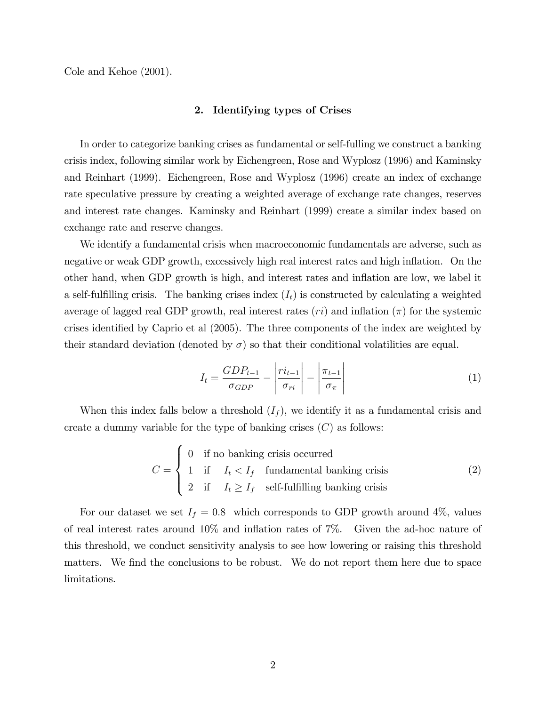Cole and Kehoe (2001).

#### 2. Identifying types of Crises

In order to categorize banking crises as fundamental or self-fulling we construct a banking crisis index, following similar work by Eichengreen, Rose and Wyplosz (1996) and Kaminsky and Reinhart (1999). Eichengreen, Rose and Wyplosz (1996) create an index of exchange rate speculative pressure by creating a weighted average of exchange rate changes, reserves and interest rate changes. Kaminsky and Reinhart (1999) create a similar index based on exchange rate and reserve changes.

We identify a fundamental crisis when macroeconomic fundamentals are adverse, such as negative or weak GDP growth, excessively high real interest rates and high inflation. On the other hand, when GDP growth is high, and interest rates and ináation are low, we label it a self-fulfilling crisis. The banking crises index  $(I_t)$  is constructed by calculating a weighted average of lagged real GDP growth, real interest rates  $(ri)$  and inflation  $(\pi)$  for the systemic crises identified by Caprio et al (2005). The three components of the index are weighted by their standard deviation (denoted by  $\sigma$ ) so that their conditional volatilities are equal.

$$
I_t = \frac{GDP_{t-1}}{\sigma_{GDP}} - \left| \frac{ri_{t-1}}{\sigma_{ri}} \right| - \left| \frac{\pi_{t-1}}{\sigma_{\pi}} \right| \tag{1}
$$

When this index falls below a threshold  $(I_f)$ , we identify it as a fundamental crisis and create a dummy variable for the type of banking crises  $(C)$  as follows:

$$
C = \begin{cases} 0 & \text{if no banking crisis occurred} \\ 1 & \text{if } I_t < I_f \quad \text{fundamental banking crisis} \\ 2 & \text{if } I_t \ge I_f \quad \text{self-fulfilling banking crisis} \end{cases} \tag{2}
$$

For our dataset we set  $I_f = 0.8$  which corresponds to GDP growth around 4\%, values of real interest rates around  $10\%$  and inflation rates of  $7\%$ . Given the ad-hoc nature of this threshold, we conduct sensitivity analysis to see how lowering or raising this threshold matters. We find the conclusions to be robust. We do not report them here due to space limitations.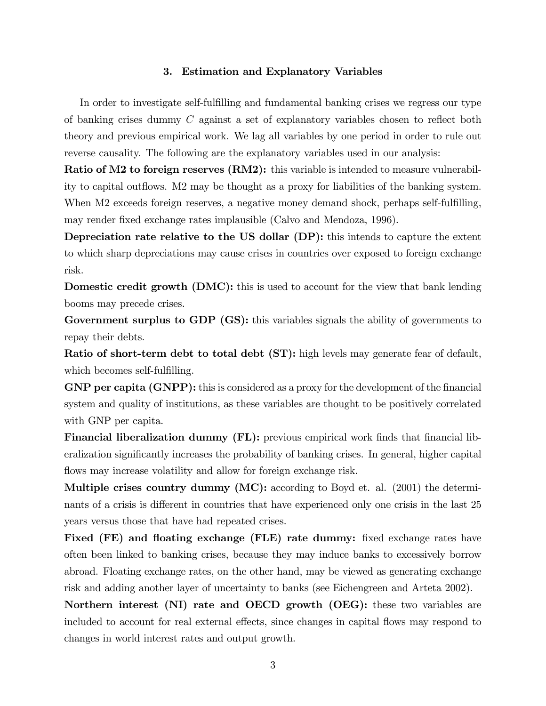### 3. Estimation and Explanatory Variables

In order to investigate self-fulfilling and fundamental banking crises we regress our type of banking crises dummy  $C$  against a set of explanatory variables chosen to reflect both theory and previous empirical work. We lag all variables by one period in order to rule out reverse causality. The following are the explanatory variables used in our analysis:

Ratio of M2 to foreign reserves (RM2): this variable is intended to measure vulnerability to capital outflows. M2 may be thought as a proxy for liabilities of the banking system. When M2 exceeds foreign reserves, a negative money demand shock, perhaps self-fulfilling, may render fixed exchange rates implausible (Calvo and Mendoza, 1996).

Depreciation rate relative to the US dollar (DP): this intends to capture the extent to which sharp depreciations may cause crises in countries over exposed to foreign exchange risk.

Domestic credit growth (DMC): this is used to account for the view that bank lending booms may precede crises.

Government surplus to GDP (GS): this variables signals the ability of governments to repay their debts.

Ratio of short-term debt to total debt (ST): high levels may generate fear of default, which becomes self-fulfilling.

GNP per capita (GNPP): this is considered as a proxy for the development of the financial system and quality of institutions, as these variables are thought to be positively correlated with GNP per capita.

**Financial liberalization dummy (FL):** previous empirical work finds that financial liberalization significantly increases the probability of banking crises. In general, higher capital flows may increase volatility and allow for foreign exchange risk.

Multiple crises country dummy (MC): according to Boyd et. al. (2001) the determinants of a crisis is different in countries that have experienced only one crisis in the last 25 years versus those that have had repeated crises.

Fixed (FE) and floating exchange (FLE) rate dummy: fixed exchange rates have often been linked to banking crises, because they may induce banks to excessively borrow abroad. Floating exchange rates, on the other hand, may be viewed as generating exchange risk and adding another layer of uncertainty to banks (see Eichengreen and Arteta 2002).

Northern interest (NI) rate and OECD growth (OEG): these two variables are included to account for real external effects, since changes in capital flows may respond to changes in world interest rates and output growth.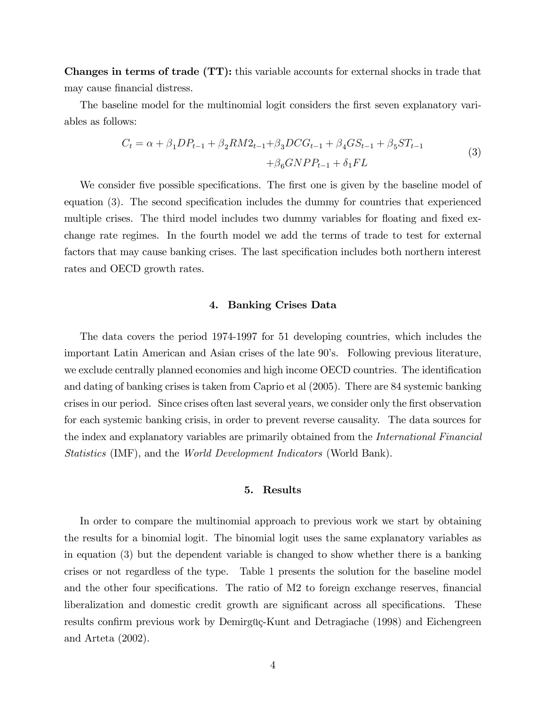Changes in terms of trade (TT): this variable accounts for external shocks in trade that may cause financial distress.

The baseline model for the multinomial logit considers the first seven explanatory variables as follows:

$$
C_{t} = \alpha + \beta_{1}DP_{t-1} + \beta_{2}RM2_{t-1} + \beta_{3}DCG_{t-1} + \beta_{4}GS_{t-1} + \beta_{5}ST_{t-1}
$$
  
 
$$
+ \beta_{6}GNPP_{t-1} + \delta_{1}FL
$$
 (3)

We consider five possible specifications. The first one is given by the baseline model of equation (3). The second specification includes the dummy for countries that experienced multiple crises. The third model includes two dummy variables for floating and fixed exchange rate regimes. In the fourth model we add the terms of trade to test for external factors that may cause banking crises. The last specification includes both northern interest rates and OECD growth rates.

### 4. Banking Crises Data

The data covers the period 1974-1997 for 51 developing countries, which includes the important Latin American and Asian crises of the late 90's. Following previous literature, we exclude centrally planned economies and high income OECD countries. The identification and dating of banking crises is taken from Caprio et al (2005). There are 84 systemic banking crises in our period. Since crises often last several years, we consider only the first observation for each systemic banking crisis, in order to prevent reverse causality. The data sources for the index and explanatory variables are primarily obtained from the International Financial Statistics (IMF), and the World Development Indicators (World Bank).

#### 5. Results

In order to compare the multinomial approach to previous work we start by obtaining the results for a binomial logit. The binomial logit uses the same explanatory variables as in equation (3) but the dependent variable is changed to show whether there is a banking crises or not regardless of the type. Table 1 presents the solution for the baseline model and the other four specifications. The ratio of M2 to foreign exchange reserves, financial liberalization and domestic credit growth are significant across all specifications. These results confirm previous work by Demirgüç-Kunt and Detragiache (1998) and Eichengreen and Arteta (2002).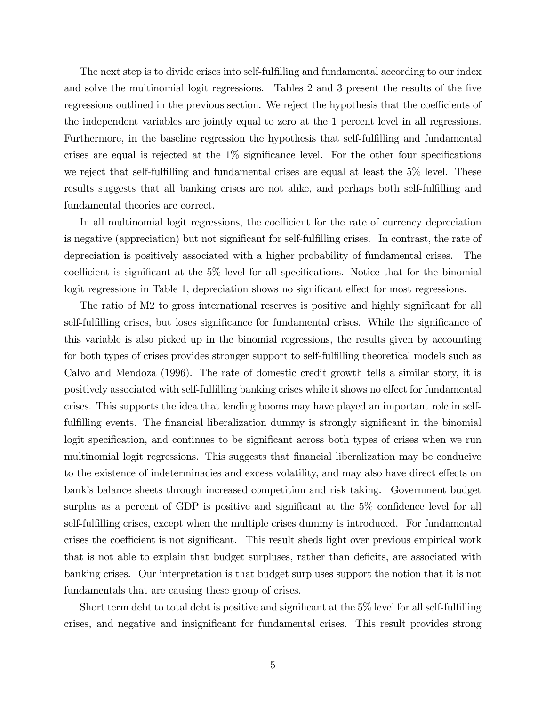The next step is to divide crises into self-fulfilling and fundamental according to our index and solve the multinomial logit regressions. Tables 2 and 3 present the results of the five regressions outlined in the previous section. We reject the hypothesis that the coefficients of the independent variables are jointly equal to zero at the 1 percent level in all regressions. Furthermore, in the baseline regression the hypothesis that self-fulfilling and fundamental crises are equal is rejected at the  $1\%$  significance level. For the other four specifications we reject that self-fulfilling and fundamental crises are equal at least the  $5\%$  level. These results suggests that all banking crises are not alike, and perhaps both self-fulfilling and fundamental theories are correct.

In all multinomial logit regressions, the coefficient for the rate of currency depreciation is negative (appreciation) but not significant for self-fulfilling crises. In contrast, the rate of depreciation is positively associated with a higher probability of fundamental crises. The coefficient is significant at the  $5\%$  level for all specifications. Notice that for the binomial logit regressions in Table 1, depreciation shows no significant effect for most regressions.

The ratio of M2 to gross international reserves is positive and highly significant for all self-fulfilling crises, but loses significance for fundamental crises. While the significance of this variable is also picked up in the binomial regressions, the results given by accounting for both types of crises provides stronger support to self-fulfilling theoretical models such as Calvo and Mendoza (1996). The rate of domestic credit growth tells a similar story, it is positively associated with self-fulfilling banking crises while it shows no effect for fundamental crises. This supports the idea that lending booms may have played an important role in selffulfilling events. The financial liberalization dummy is strongly significant in the binomial logit specification, and continues to be significant across both types of crises when we run multinomial logit regressions. This suggests that financial liberalization may be conducive to the existence of indeterminacies and excess volatility, and may also have direct effects on bank's balance sheets through increased competition and risk taking. Government budget surplus as a percent of GDP is positive and significant at the  $5\%$  confidence level for all self-fulfilling crises, except when the multiple crises dummy is introduced. For fundamental crises the coefficient is not significant. This result sheds light over previous empirical work that is not able to explain that budget surpluses, rather than deficits, are associated with banking crises. Our interpretation is that budget surpluses support the notion that it is not fundamentals that are causing these group of crises.

Short term debt to total debt is positive and significant at the  $5\%$  level for all self-fulfilling crises, and negative and insignificant for fundamental crises. This result provides strong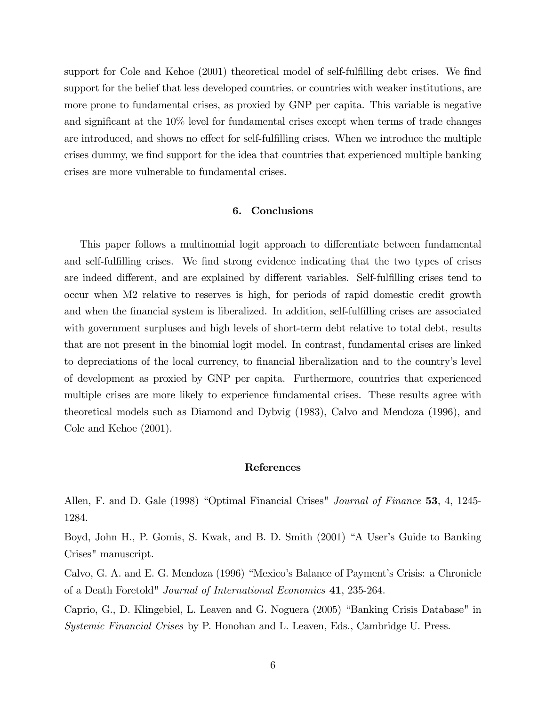support for Cole and Kehoe (2001) theoretical model of self-fulfilling debt crises. We find support for the belief that less developed countries, or countries with weaker institutions, are more prone to fundamental crises, as proxied by GNP per capita. This variable is negative and significant at the 10% level for fundamental crises except when terms of trade changes are introduced, and shows no effect for self-fulfilling crises. When we introduce the multiple crises dummy, we find support for the idea that countries that experienced multiple banking crises are more vulnerable to fundamental crises.

#### 6. Conclusions

This paper follows a multinomial logit approach to differentiate between fundamental and self-fulfilling crises. We find strong evidence indicating that the two types of crises are indeed different, and are explained by different variables. Self-fulfilling crises tend to occur when M2 relative to reserves is high, for periods of rapid domestic credit growth and when the financial system is liberalized. In addition, self-fulfilling crises are associated with government surpluses and high levels of short-term debt relative to total debt, results that are not present in the binomial logit model. In contrast, fundamental crises are linked to depreciations of the local currency, to financial liberalization and to the country's level of development as proxied by GNP per capita. Furthermore, countries that experienced multiple crises are more likely to experience fundamental crises. These results agree with theoretical models such as Diamond and Dybvig (1983), Calvo and Mendoza (1996), and Cole and Kehoe  $(2001)$ .

#### References

Allen, F. and D. Gale (1998) "Optimal Financial Crises" Journal of Finance 53, 4, 1245-1284.

Boyd, John H., P. Gomis, S. Kwak, and B. D. Smith (2001) "A User's Guide to Banking Crises" manuscript.

Calvo, G. A. and E. G. Mendoza (1996) "Mexico's Balance of Payment's Crisis: a Chronicle of a Death Foretold" Journal of International Economics 41, 235-264.

Caprio, G., D. Klingebiel, L. Leaven and G. Noguera (2005) "Banking Crisis Database" in *Systemic Financial Crises* by P. Honohan and L. Leaven, Eds., Cambridge U. Press.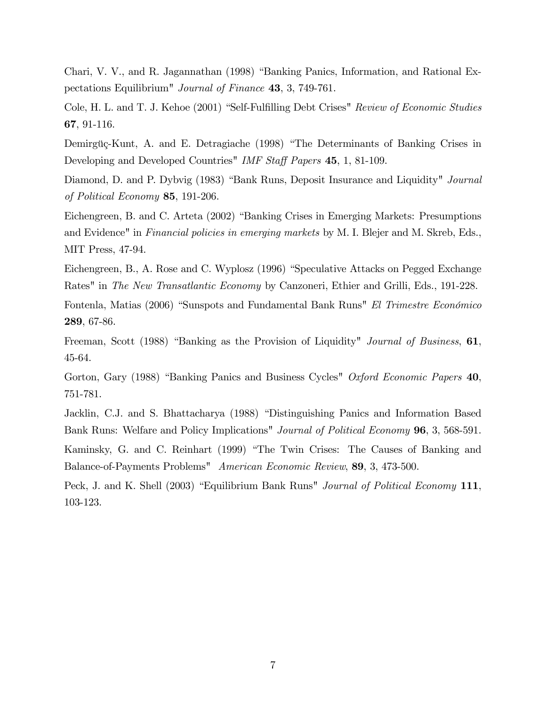Chari, V. V., and R. Jagannathan (1998) "Banking Panics, Information, and Rational Expectations Equilibrium" Journal of Finance 43, 3, 749-761.

Cole, H. L. and T. J. Kehoe (2001) "Self-Fulfilling Debt Crises" Review of Economic Studies 67, 91-116.

Demirgüç-Kunt, A. and E. Detragiache (1998) "The Determinants of Banking Crises in Developing and Developed Countries" IMF Staff Papers 45, 1, 81-109.

Diamond, D. and P. Dybvig (1983) "Bank Runs, Deposit Insurance and Liquidity" Journal of Political Economy 85, 191-206.

Eichengreen, B. and C. Arteta (2002) "Banking Crises in Emerging Markets: Presumptions and Evidence" in Financial policies in emerging markets by M. I. Blejer and M. Skreb, Eds., MIT Press, 47-94.

Eichengreen, B., A. Rose and C. Wyplosz (1996) "Speculative Attacks on Pegged Exchange Rates" in The New Transatlantic Economy by Canzoneri, Ethier and Grilli, Eds., 191-228.

Fontenla, Matias (2006) "Sunspots and Fundamental Bank Runs" El Trimestre Económico 289, 67-86.

Freeman, Scott (1988) "Banking as the Provision of Liquidity" Journal of Business, 61, 45-64.

Gorton, Gary (1988) "Banking Panics and Business Cycles" Oxford Economic Papers 40, 751-781.

Jacklin, C.J. and S. Bhattacharya (1988) "Distinguishing Panics and Information Based Bank Runs: Welfare and Policy Implications" *Journal of Political Economy* **96**, 3, 568-591.

Kaminsky, G. and C. Reinhart (1999) "The Twin Crises: The Causes of Banking and Balance-of-Payments Problems" American Economic Review, 89, 3, 473-500.

Peck, J. and K. Shell (2003) "Equilibrium Bank Runs" Journal of Political Economy 111, 103-123.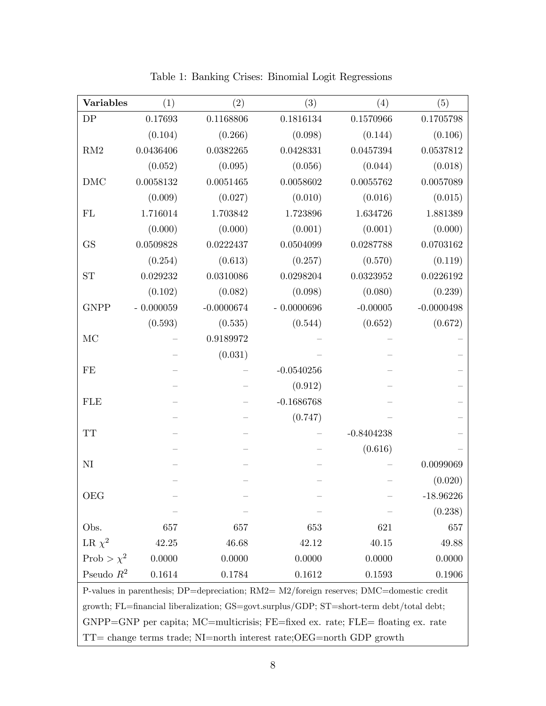| DP<br>0.1168806<br>0.1816134<br>0.1570966<br>0.1705798<br>0.17693<br>(0.104)<br>(0.266)<br>(0.098)<br>(0.106)<br>(0.144)<br>0.0436406<br>0.0537812<br>0.0382265<br>0.0428331<br>0.0457394<br>(0.095)<br>(0.056)<br>(0.018)<br>(0.052)<br>(0.044)<br>0.0057089<br>0.0058132<br>0.0051465<br>0.0058602<br>0.0055762<br>(0.009)<br>(0.027)<br>(0.010)<br>(0.016)<br>(0.015)<br>1.716014<br>1.703842<br>1.723896<br>1.634726<br>1.881389<br>(0.000)<br>(0.000)<br>(0.000)<br>(0.001)<br>(0.001)<br>0.0703162<br><b>GS</b><br>0.0509828<br>0.0222437<br>0.0504099<br>0.0287788<br>(0.119)<br>(0.254)<br>(0.613)<br>(0.570)<br>(0.257)<br>0.0226192<br>0.029232<br>0.0310086<br>0.0298204<br>0.0323952<br><b>ST</b><br>(0.239)<br>(0.102)<br>(0.082)<br>(0.098)<br>(0.080)<br>$-0.0000696$<br>$-0.0000498$<br><b>GNPP</b><br>$-0.000059$<br>$-0.0000674$<br>$-0.00005$<br>(0.672)<br>(0.593)<br>(0.535)<br>(0.544)<br>(0.652)<br>0.9189972<br>(0.031)<br>$-0.0540256$<br>(0.912)<br><b>FLE</b><br>$-0.1686768$<br>(0.747)<br><b>TT</b><br>$-0.8404238$<br>(0.616)<br>$\rm NI$<br>0.0099069<br>(0.020)<br><b>OEG</b><br>$-18.96226$<br>(0.238)<br>Obs.<br>657<br>653<br>621<br>657<br>657<br>42.25<br>46.68<br>42.12<br>40.15<br>49.88<br>0.0000<br>0.0000<br>0.0000<br>0.0000<br>0.0000<br>Pseudo $R^2$<br>0.1614<br>0.1784<br>0.1612<br>0.1593<br>0.1906<br>P-values in parenthesis; $DP =$ depreciation; $RM2 = M2$ /foreign reserves; $DMC =$ domestic credit<br>growth; FL=financial liberalization; GS=govt.surplus/GDP; ST=short-term debt/total debt; | <b>Variables</b> | (1) | (2) | (3) | (4) | (5) |  |  |
|--------------------------------------------------------------------------------------------------------------------------------------------------------------------------------------------------------------------------------------------------------------------------------------------------------------------------------------------------------------------------------------------------------------------------------------------------------------------------------------------------------------------------------------------------------------------------------------------------------------------------------------------------------------------------------------------------------------------------------------------------------------------------------------------------------------------------------------------------------------------------------------------------------------------------------------------------------------------------------------------------------------------------------------------------------------------------------------------------------------------------------------------------------------------------------------------------------------------------------------------------------------------------------------------------------------------------------------------------------------------------------------------------------------------------------------------------------------------------------------------------------------------------------------------------------|------------------|-----|-----|-----|-----|-----|--|--|
|                                                                                                                                                                                                                                                                                                                                                                                                                                                                                                                                                                                                                                                                                                                                                                                                                                                                                                                                                                                                                                                                                                                                                                                                                                                                                                                                                                                                                                                                                                                                                        |                  |     |     |     |     |     |  |  |
|                                                                                                                                                                                                                                                                                                                                                                                                                                                                                                                                                                                                                                                                                                                                                                                                                                                                                                                                                                                                                                                                                                                                                                                                                                                                                                                                                                                                                                                                                                                                                        |                  |     |     |     |     |     |  |  |
|                                                                                                                                                                                                                                                                                                                                                                                                                                                                                                                                                                                                                                                                                                                                                                                                                                                                                                                                                                                                                                                                                                                                                                                                                                                                                                                                                                                                                                                                                                                                                        | RM2              |     |     |     |     |     |  |  |
|                                                                                                                                                                                                                                                                                                                                                                                                                                                                                                                                                                                                                                                                                                                                                                                                                                                                                                                                                                                                                                                                                                                                                                                                                                                                                                                                                                                                                                                                                                                                                        |                  |     |     |     |     |     |  |  |
|                                                                                                                                                                                                                                                                                                                                                                                                                                                                                                                                                                                                                                                                                                                                                                                                                                                                                                                                                                                                                                                                                                                                                                                                                                                                                                                                                                                                                                                                                                                                                        | <b>DMC</b>       |     |     |     |     |     |  |  |
|                                                                                                                                                                                                                                                                                                                                                                                                                                                                                                                                                                                                                                                                                                                                                                                                                                                                                                                                                                                                                                                                                                                                                                                                                                                                                                                                                                                                                                                                                                                                                        |                  |     |     |     |     |     |  |  |
|                                                                                                                                                                                                                                                                                                                                                                                                                                                                                                                                                                                                                                                                                                                                                                                                                                                                                                                                                                                                                                                                                                                                                                                                                                                                                                                                                                                                                                                                                                                                                        | FL               |     |     |     |     |     |  |  |
|                                                                                                                                                                                                                                                                                                                                                                                                                                                                                                                                                                                                                                                                                                                                                                                                                                                                                                                                                                                                                                                                                                                                                                                                                                                                                                                                                                                                                                                                                                                                                        |                  |     |     |     |     |     |  |  |
|                                                                                                                                                                                                                                                                                                                                                                                                                                                                                                                                                                                                                                                                                                                                                                                                                                                                                                                                                                                                                                                                                                                                                                                                                                                                                                                                                                                                                                                                                                                                                        |                  |     |     |     |     |     |  |  |
|                                                                                                                                                                                                                                                                                                                                                                                                                                                                                                                                                                                                                                                                                                                                                                                                                                                                                                                                                                                                                                                                                                                                                                                                                                                                                                                                                                                                                                                                                                                                                        |                  |     |     |     |     |     |  |  |
|                                                                                                                                                                                                                                                                                                                                                                                                                                                                                                                                                                                                                                                                                                                                                                                                                                                                                                                                                                                                                                                                                                                                                                                                                                                                                                                                                                                                                                                                                                                                                        |                  |     |     |     |     |     |  |  |
|                                                                                                                                                                                                                                                                                                                                                                                                                                                                                                                                                                                                                                                                                                                                                                                                                                                                                                                                                                                                                                                                                                                                                                                                                                                                                                                                                                                                                                                                                                                                                        |                  |     |     |     |     |     |  |  |
|                                                                                                                                                                                                                                                                                                                                                                                                                                                                                                                                                                                                                                                                                                                                                                                                                                                                                                                                                                                                                                                                                                                                                                                                                                                                                                                                                                                                                                                                                                                                                        |                  |     |     |     |     |     |  |  |
|                                                                                                                                                                                                                                                                                                                                                                                                                                                                                                                                                                                                                                                                                                                                                                                                                                                                                                                                                                                                                                                                                                                                                                                                                                                                                                                                                                                                                                                                                                                                                        |                  |     |     |     |     |     |  |  |
|                                                                                                                                                                                                                                                                                                                                                                                                                                                                                                                                                                                                                                                                                                                                                                                                                                                                                                                                                                                                                                                                                                                                                                                                                                                                                                                                                                                                                                                                                                                                                        | MC               |     |     |     |     |     |  |  |
|                                                                                                                                                                                                                                                                                                                                                                                                                                                                                                                                                                                                                                                                                                                                                                                                                                                                                                                                                                                                                                                                                                                                                                                                                                                                                                                                                                                                                                                                                                                                                        |                  |     |     |     |     |     |  |  |
|                                                                                                                                                                                                                                                                                                                                                                                                                                                                                                                                                                                                                                                                                                                                                                                                                                                                                                                                                                                                                                                                                                                                                                                                                                                                                                                                                                                                                                                                                                                                                        | FE               |     |     |     |     |     |  |  |
|                                                                                                                                                                                                                                                                                                                                                                                                                                                                                                                                                                                                                                                                                                                                                                                                                                                                                                                                                                                                                                                                                                                                                                                                                                                                                                                                                                                                                                                                                                                                                        |                  |     |     |     |     |     |  |  |
|                                                                                                                                                                                                                                                                                                                                                                                                                                                                                                                                                                                                                                                                                                                                                                                                                                                                                                                                                                                                                                                                                                                                                                                                                                                                                                                                                                                                                                                                                                                                                        |                  |     |     |     |     |     |  |  |
|                                                                                                                                                                                                                                                                                                                                                                                                                                                                                                                                                                                                                                                                                                                                                                                                                                                                                                                                                                                                                                                                                                                                                                                                                                                                                                                                                                                                                                                                                                                                                        |                  |     |     |     |     |     |  |  |
|                                                                                                                                                                                                                                                                                                                                                                                                                                                                                                                                                                                                                                                                                                                                                                                                                                                                                                                                                                                                                                                                                                                                                                                                                                                                                                                                                                                                                                                                                                                                                        |                  |     |     |     |     |     |  |  |
|                                                                                                                                                                                                                                                                                                                                                                                                                                                                                                                                                                                                                                                                                                                                                                                                                                                                                                                                                                                                                                                                                                                                                                                                                                                                                                                                                                                                                                                                                                                                                        |                  |     |     |     |     |     |  |  |
|                                                                                                                                                                                                                                                                                                                                                                                                                                                                                                                                                                                                                                                                                                                                                                                                                                                                                                                                                                                                                                                                                                                                                                                                                                                                                                                                                                                                                                                                                                                                                        |                  |     |     |     |     |     |  |  |
|                                                                                                                                                                                                                                                                                                                                                                                                                                                                                                                                                                                                                                                                                                                                                                                                                                                                                                                                                                                                                                                                                                                                                                                                                                                                                                                                                                                                                                                                                                                                                        |                  |     |     |     |     |     |  |  |
|                                                                                                                                                                                                                                                                                                                                                                                                                                                                                                                                                                                                                                                                                                                                                                                                                                                                                                                                                                                                                                                                                                                                                                                                                                                                                                                                                                                                                                                                                                                                                        |                  |     |     |     |     |     |  |  |
|                                                                                                                                                                                                                                                                                                                                                                                                                                                                                                                                                                                                                                                                                                                                                                                                                                                                                                                                                                                                                                                                                                                                                                                                                                                                                                                                                                                                                                                                                                                                                        |                  |     |     |     |     |     |  |  |
|                                                                                                                                                                                                                                                                                                                                                                                                                                                                                                                                                                                                                                                                                                                                                                                                                                                                                                                                                                                                                                                                                                                                                                                                                                                                                                                                                                                                                                                                                                                                                        |                  |     |     |     |     |     |  |  |
|                                                                                                                                                                                                                                                                                                                                                                                                                                                                                                                                                                                                                                                                                                                                                                                                                                                                                                                                                                                                                                                                                                                                                                                                                                                                                                                                                                                                                                                                                                                                                        | LR $\chi^2$      |     |     |     |     |     |  |  |
|                                                                                                                                                                                                                                                                                                                                                                                                                                                                                                                                                                                                                                                                                                                                                                                                                                                                                                                                                                                                                                                                                                                                                                                                                                                                                                                                                                                                                                                                                                                                                        | Prob > $\chi^2$  |     |     |     |     |     |  |  |
|                                                                                                                                                                                                                                                                                                                                                                                                                                                                                                                                                                                                                                                                                                                                                                                                                                                                                                                                                                                                                                                                                                                                                                                                                                                                                                                                                                                                                                                                                                                                                        |                  |     |     |     |     |     |  |  |
|                                                                                                                                                                                                                                                                                                                                                                                                                                                                                                                                                                                                                                                                                                                                                                                                                                                                                                                                                                                                                                                                                                                                                                                                                                                                                                                                                                                                                                                                                                                                                        |                  |     |     |     |     |     |  |  |
|                                                                                                                                                                                                                                                                                                                                                                                                                                                                                                                                                                                                                                                                                                                                                                                                                                                                                                                                                                                                                                                                                                                                                                                                                                                                                                                                                                                                                                                                                                                                                        |                  |     |     |     |     |     |  |  |

Table 1: Banking Crises: Binomial Logit Regressions

GNPP=GNP per capita; MC=multicrisis; FE=fixed ex. rate; FLE= floating ex. rate  $\ensuremath{\mathsf{T}}\ensuremath{\mathsf{T}}$  = change terms trade;<br>  $\ensuremath{\mathsf{NI}}\xspace\ensuremath{=\xspace}$  north interest rate;<br>OEG=north GDP growth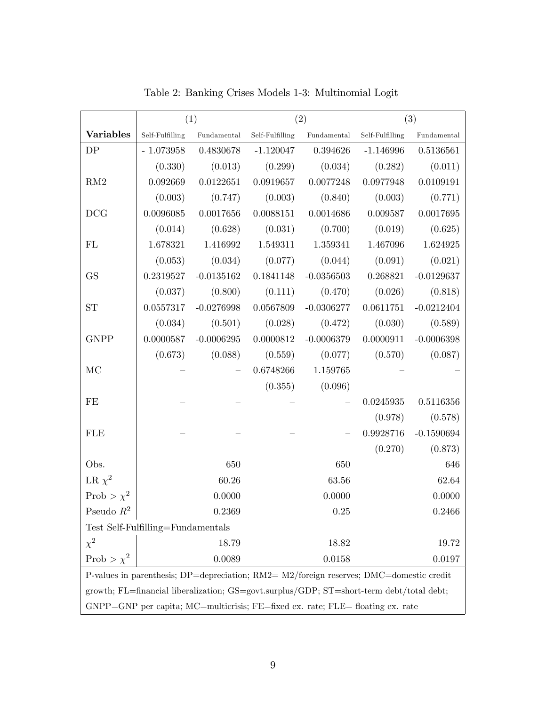|                                                                                                     | (1)                                                                                      |                                    | (2)       |                                                                      | (3)                   |                   |  |
|-----------------------------------------------------------------------------------------------------|------------------------------------------------------------------------------------------|------------------------------------|-----------|----------------------------------------------------------------------|-----------------------|-------------------|--|
| <b>Variables</b>                                                                                    | Self-Fulfilling                                                                          | $\label{p:1} \textbf{Fundamental}$ |           | $\pmb{\quad \text{Self-Fulfilling} \quad \quad \text{Fundamental} }$ | Self-Fulfilling       | $\bf Fundamental$ |  |
| DP                                                                                                  | $-1.073958$                                                                              | 0.4830678                          |           | $-1.120047$ 0.394626                                                 | $-1.146996$           | 0.5136561         |  |
|                                                                                                     | (0.330)                                                                                  | (0.013)                            | (0.299)   | (0.034)                                                              | (0.282)               | (0.011)           |  |
| $\mathrm{RM}2$                                                                                      | 0.092669                                                                                 | 0.0122651                          | 0.0919657 | 0.0077248                                                            | 0.0977948             | 0.0109191         |  |
|                                                                                                     | (0.003)                                                                                  | (0.747)                            | (0.003)   | $(0.840)$ $(0.003)$                                                  |                       | (0.771)           |  |
| DCG                                                                                                 | 0.0096085                                                                                | 0.0017656                          | 0.0088151 | 0.0014686                                                            | 0.009587              | 0.0017695         |  |
|                                                                                                     | (0.014)                                                                                  | (0.628)                            |           | $(0.031)$ $(0.700)$ $(0.019)$                                        |                       | (0.625)           |  |
| FL                                                                                                  | 1.678321                                                                                 | 1.416992                           |           | 1.549311 1.359341                                                    | 1.467096              | 1.624925          |  |
|                                                                                                     | (0.053)                                                                                  | (0.034)                            | (0.077)   | $(0.044)$ $(0.091)$                                                  |                       | (0.021)           |  |
| <b>GS</b>                                                                                           | 0.2319527                                                                                | $-0.0135162$                       | 0.1841148 |                                                                      | $-0.0356503$ 0.268821 | $-0.0129637$      |  |
|                                                                                                     | (0.037)                                                                                  | (0.800)                            | (0.111)   | (0.470)                                                              | (0.026)               | (0.818)           |  |
| ${\rm ST}$                                                                                          | 0.0557317                                                                                | $-0.0276998$                       | 0.0567809 | $-0.0306277$                                                         | 0.0611751             | $-0.0212404$      |  |
|                                                                                                     | (0.034)                                                                                  | (0.501)                            | (0.028)   | (0.472)                                                              | (0.030)               | (0.589)           |  |
| <b>GNPP</b>                                                                                         | 0.0000587                                                                                | $-0.0006295$                       | 0.0000812 | $-0.0006379$                                                         | 0.0000911             | $-0.0006398$      |  |
|                                                                                                     | (0.673)                                                                                  | (0.088)                            |           | $(0.559)$ $(0.077)$ $(0.570)$                                        |                       | (0.087)           |  |
| MC                                                                                                  |                                                                                          |                                    |           | $0.6748266$ 1.159765                                                 |                       |                   |  |
|                                                                                                     |                                                                                          |                                    |           | $(0.355)$ $(0.096)$                                                  |                       |                   |  |
| FE                                                                                                  |                                                                                          |                                    |           |                                                                      | 0.0245935             | 0.5116356         |  |
|                                                                                                     |                                                                                          |                                    |           |                                                                      | (0.978)               | (0.578)           |  |
| <b>FLE</b>                                                                                          |                                                                                          |                                    |           |                                                                      | 0.9928716             | $-0.1590694$      |  |
|                                                                                                     |                                                                                          |                                    |           |                                                                      | (0.270)               | (0.873)           |  |
| Obs.                                                                                                |                                                                                          | 650                                |           | 650                                                                  |                       | 646               |  |
| LR $\chi^2$                                                                                         |                                                                                          | 60.26                              |           | 63.56                                                                |                       | 62.64             |  |
| Prob > $\chi^2$                                                                                     |                                                                                          | 0.0000                             |           | 0.0000                                                               |                       | 0.0000            |  |
| Pseudo $R^2$                                                                                        |                                                                                          | 0.2369                             |           | 0.25                                                                 |                       | 0.2466            |  |
| Test Self-Fulfilling=Fundamentals                                                                   |                                                                                          |                                    |           |                                                                      |                       |                   |  |
| $\chi^2$                                                                                            |                                                                                          | 18.79                              |           | 18.82                                                                |                       | 19.72             |  |
| Prob > $\chi^2$                                                                                     |                                                                                          | 0.0089                             |           | 0.0158                                                               |                       | 0.0197            |  |
| P-values in parenthesis; $DP =$ depreciation; $RM2 = M2$ /foreign reserves; $DMC =$ domestic credit |                                                                                          |                                    |           |                                                                      |                       |                   |  |
|                                                                                                     | growth; FL=financial liberalization; GS=govt.surplus/GDP; ST=short-term debt/total debt; |                                    |           |                                                                      |                       |                   |  |
| GNPP=GNP per capita; MC=multicrisis; FE=fixed ex. rate; FLE= floating ex. rate                      |                                                                                          |                                    |           |                                                                      |                       |                   |  |

Table 2: Banking Crises Models 1-3: Multinomial Logit